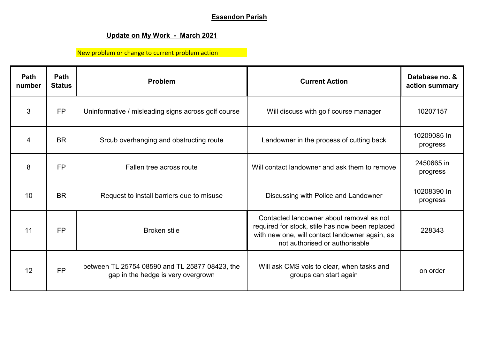## **Essendon Parish**

## **Update on My Work - March 2021**

New problem or change to current problem action

| Path<br>number | Path<br><b>Status</b> | <b>Problem</b>                                                                       | <b>Current Action</b>                                                                                                                                                           | Database no. &<br>action summary |
|----------------|-----------------------|--------------------------------------------------------------------------------------|---------------------------------------------------------------------------------------------------------------------------------------------------------------------------------|----------------------------------|
| 3              | <b>FP</b>             | Uninformative / misleading signs across golf course                                  | Will discuss with golf course manager                                                                                                                                           | 10207157                         |
| 4              | <b>BR</b>             | Srcub overhanging and obstructing route                                              | Landowner in the process of cutting back                                                                                                                                        | 10209085 In<br>progress          |
| 8              | <b>FP</b>             | Fallen tree across route                                                             | Will contact landowner and ask them to remove                                                                                                                                   | 2450665 in<br>progress           |
| 10             | <b>BR</b>             | Request to install barriers due to misuse                                            | Discussing with Police and Landowner                                                                                                                                            | 10208390 In<br>progress          |
| 11             | <b>FP</b>             | <b>Broken stile</b>                                                                  | Contacted landowner about removal as not<br>required for stock, stile has now been replaced<br>with new one, will contact landowner again, as<br>not authorised or authorisable | 228343                           |
| 12             | <b>FP</b>             | between TL 25754 08590 and TL 25877 08423, the<br>gap in the hedge is very overgrown | Will ask CMS vols to clear, when tasks and<br>groups can start again                                                                                                            | on order                         |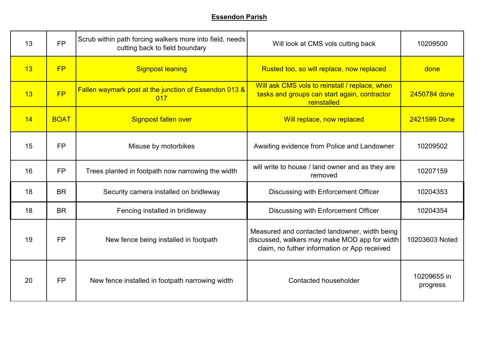## **Essendon Parish**

| 13 | <b>FP</b>   | Scrub within path forcing walkers more into field, needs<br>cutting back to field boundary | Will look at CMS vols cutting back                                                                                                             | 10209500                |
|----|-------------|--------------------------------------------------------------------------------------------|------------------------------------------------------------------------------------------------------------------------------------------------|-------------------------|
| 13 | FP          | <b>Signpost leaning</b>                                                                    | Rusted too, so will replace, now replaced                                                                                                      | done                    |
| 13 | FP          | Fallen waymark post at the junction of Essendon 013 &<br>017                               | Will ask CMS vols to reinstall / replace, when<br>tasks and groups can start again, contractor<br>reinstalled                                  | 2450784 done            |
| 14 | <b>BOAT</b> | <b>Signpost fallen over</b>                                                                | Will replace, now replaced                                                                                                                     | 2421599 Done            |
| 15 | <b>FP</b>   | Misuse by motorbikes                                                                       | Awaiting evidence from Police and Landowner                                                                                                    | 10209502                |
| 16 | <b>FP</b>   | Trees planted in footpath now narrowing the width                                          | will write to house / land owner and as they are<br>removed                                                                                    | 10207159                |
| 18 | <b>BR</b>   | Security camera installed on bridleway                                                     | <b>Discussing with Enforcement Officer</b>                                                                                                     | 10204353                |
| 18 | <b>BR</b>   | Fencing installed in bridleway                                                             | <b>Discussing with Enforcement Officer</b>                                                                                                     | 10204354                |
| 19 | <b>FP</b>   | New fence being installed in footpath                                                      | Measured and contacted landowner, width being<br>discussed, walkers may make MOD app for width<br>claim, no futher information or App received | 10203603 Noted          |
| 20 | <b>FP</b>   | New fence installed in footpath narrowing width                                            | <b>Contacted householder</b>                                                                                                                   | 10209655 in<br>progress |